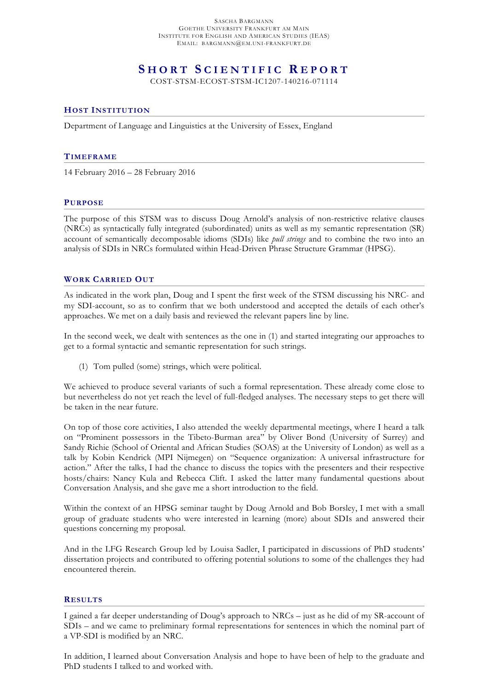SASCHA BARGMANN GOETHE UNIVERSITY FRANKFURT AM MAIN INSTITUTE FOR ENGLISH AND AMERICAN STUDIES (IEAS) EMAIL: BARGMANN@EM.UNI-FRANKFURT.DE

# **S HORT S CIENTIFIC R EPORT**

COST-STSM-ECOST-STSM-IC1207-140216-071114

# **HOST INSTITUTION**

Department of Language and Linguistics at the University of Essex, England

### **TIMEFRAME**

14 February 2016 – 28 February 2016

#### **PURPOSE**

The purpose of this STSM was to discuss Doug Arnold's analysis of non-restrictive relative clauses (NRCs) as syntactically fully integrated (subordinated) units as well as my semantic representation (SR) account of semantically decomposable idioms (SDIs) like *pull strings* and to combine the two into an analysis of SDIs in NRCs formulated within Head-Driven Phrase Structure Grammar (HPSG).

# **WORK CARRIED OUT**

As indicated in the work plan, Doug and I spent the first week of the STSM discussing his NRC- and my SDI-account, so as to confirm that we both understood and accepted the details of each other's approaches. We met on a daily basis and reviewed the relevant papers line by line.

In the second week, we dealt with sentences as the one in (1) and started integrating our approaches to get to a formal syntactic and semantic representation for such strings.

(1) Tom pulled (some) strings, which were political.

We achieved to produce several variants of such a formal representation. These already come close to but nevertheless do not yet reach the level of full-fledged analyses. The necessary steps to get there will be taken in the near future.

On top of those core activities, I also attended the weekly departmental meetings, where I heard a talk on "Prominent possessors in the Tibeto-Burman area" by Oliver Bond (University of Surrey) and Sandy Richie (School of Oriental and African Studies (SOAS) at the University of London) as well as a talk by Kobin Kendrick (MPI Nijmegen) on "Sequence organization: A universal infrastructure for action." After the talks, I had the chance to discuss the topics with the presenters and their respective hosts/chairs: Nancy Kula and Rebecca Clift. I asked the latter many fundamental questions about Conversation Analysis, and she gave me a short introduction to the field.

Within the context of an HPSG seminar taught by Doug Arnold and Bob Borsley, I met with a small group of graduate students who were interested in learning (more) about SDIs and answered their questions concerning my proposal.

And in the LFG Research Group led by Louisa Sadler, I participated in discussions of PhD students' dissertation projects and contributed to offering potential solutions to some of the challenges they had encountered therein.

## **RESULTS**

I gained a far deeper understanding of Doug's approach to NRCs – just as he did of my SR-account of SDIs – and we came to preliminary formal representations for sentences in which the nominal part of a VP-SDI is modified by an NRC.

In addition, I learned about Conversation Analysis and hope to have been of help to the graduate and PhD students I talked to and worked with.